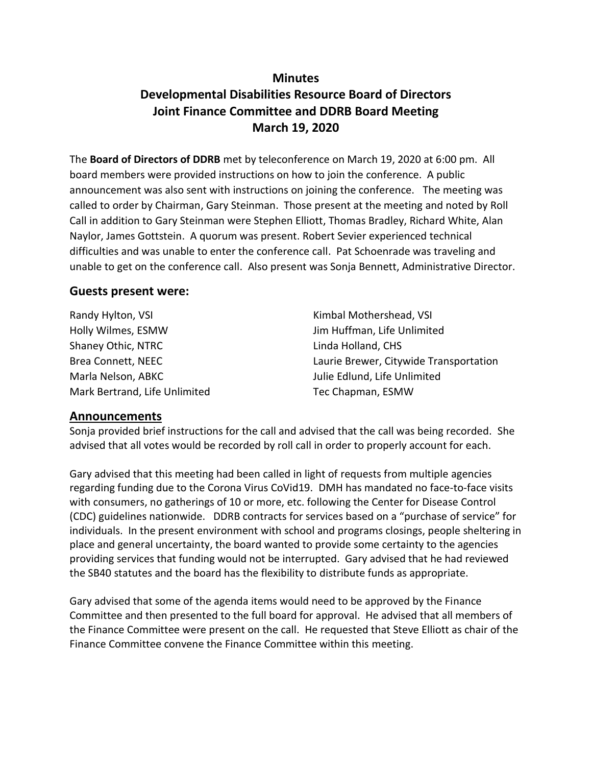## **Minutes**

# **Developmental Disabilities Resource Board of Directors Joint Finance Committee and DDRB Board Meeting March 19, 2020**

The **Board of Directors of DDRB** met by teleconference on March 19, 2020 at 6:00 pm. All board members were provided instructions on how to join the conference. A public announcement was also sent with instructions on joining the conference. The meeting was called to order by Chairman, Gary Steinman. Those present at the meeting and noted by Roll Call in addition to Gary Steinman were Stephen Elliott, Thomas Bradley, Richard White, Alan Naylor, James Gottstein. A quorum was present. Robert Sevier experienced technical difficulties and was unable to enter the conference call. Pat Schoenrade was traveling and unable to get on the conference call. Also present was Sonja Bennett, Administrative Director.

### **Guests present were:**

| Randy Hylton, VSI             | Kimbal Mothershead, VSI                |
|-------------------------------|----------------------------------------|
| Holly Wilmes, ESMW            | Jim Huffman, Life Unlimited            |
| Shaney Othic, NTRC            | Linda Holland, CHS                     |
| Brea Connett, NEEC            | Laurie Brewer, Citywide Transportation |
| Marla Nelson, ABKC            | Julie Edlund, Life Unlimited           |
| Mark Bertrand, Life Unlimited | Tec Chapman, ESMW                      |

### **Announcements**

Sonja provided brief instructions for the call and advised that the call was being recorded. She advised that all votes would be recorded by roll call in order to properly account for each.

Gary advised that this meeting had been called in light of requests from multiple agencies regarding funding due to the Corona Virus CoVid19. DMH has mandated no face-to-face visits with consumers, no gatherings of 10 or more, etc. following the Center for Disease Control (CDC) guidelines nationwide. DDRB contracts for services based on a "purchase of service" for individuals. In the present environment with school and programs closings, people sheltering in place and general uncertainty, the board wanted to provide some certainty to the agencies providing services that funding would not be interrupted. Gary advised that he had reviewed the SB40 statutes and the board has the flexibility to distribute funds as appropriate.

Gary advised that some of the agenda items would need to be approved by the Finance Committee and then presented to the full board for approval. He advised that all members of the Finance Committee were present on the call. He requested that Steve Elliott as chair of the Finance Committee convene the Finance Committee within this meeting.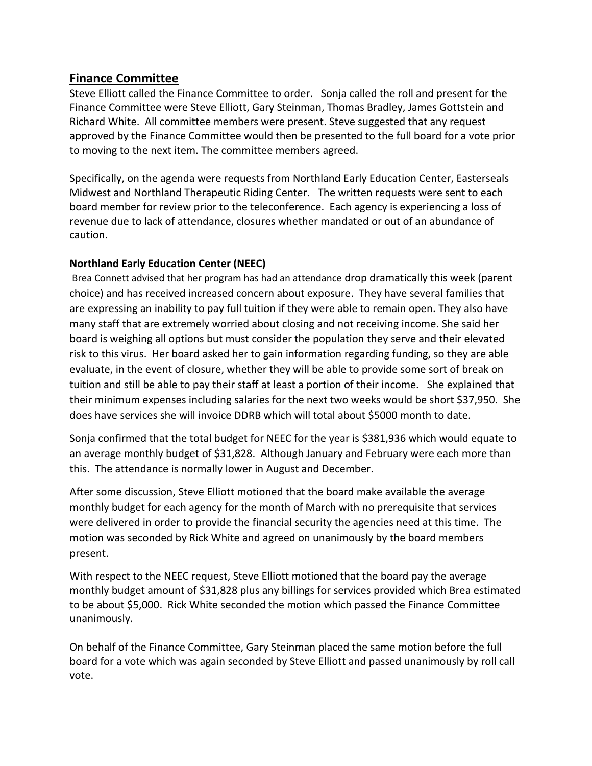## **Finance Committee**

Steve Elliott called the Finance Committee to order. Sonja called the roll and present for the Finance Committee were Steve Elliott, Gary Steinman, Thomas Bradley, James Gottstein and Richard White. All committee members were present. Steve suggested that any request approved by the Finance Committee would then be presented to the full board for a vote prior to moving to the next item. The committee members agreed.

Specifically, on the agenda were requests from Northland Early Education Center, Easterseals Midwest and Northland Therapeutic Riding Center. The written requests were sent to each board member for review prior to the teleconference. Each agency is experiencing a loss of revenue due to lack of attendance, closures whether mandated or out of an abundance of caution.

## **Northland Early Education Center (NEEC)**

Brea Connett advised that her program has had an attendance drop dramatically this week (parent choice) and has received increased concern about exposure. They have several families that are expressing an inability to pay full tuition if they were able to remain open. They also have many staff that are extremely worried about closing and not receiving income. She said her board is weighing all options but must consider the population they serve and their elevated risk to this virus. Her board asked her to gain information regarding funding, so they are able evaluate, in the event of closure, whether they will be able to provide some sort of break on tuition and still be able to pay their staff at least a portion of their income. She explained that their minimum expenses including salaries for the next two weeks would be short \$37,950. She does have services she will invoice DDRB which will total about \$5000 month to date.

Sonja confirmed that the total budget for NEEC for the year is \$381,936 which would equate to an average monthly budget of \$31,828. Although January and February were each more than this. The attendance is normally lower in August and December.

After some discussion, Steve Elliott motioned that the board make available the average monthly budget for each agency for the month of March with no prerequisite that services were delivered in order to provide the financial security the agencies need at this time. The motion was seconded by Rick White and agreed on unanimously by the board members present.

With respect to the NEEC request, Steve Elliott motioned that the board pay the average monthly budget amount of \$31,828 plus any billings for services provided which Brea estimated to be about \$5,000. Rick White seconded the motion which passed the Finance Committee unanimously.

On behalf of the Finance Committee, Gary Steinman placed the same motion before the full board for a vote which was again seconded by Steve Elliott and passed unanimously by roll call vote.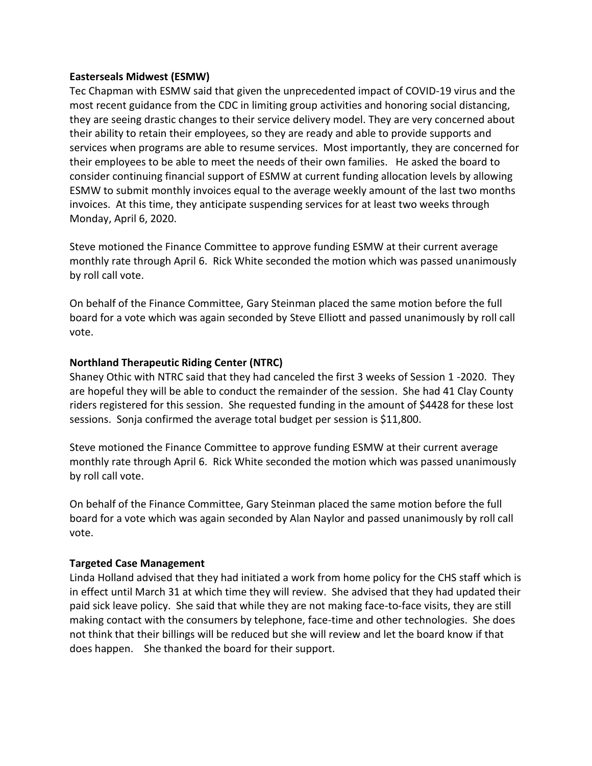#### **Easterseals Midwest (ESMW)**

Tec Chapman with ESMW said that given the unprecedented impact of COVID-19 virus and the most recent guidance from the CDC in limiting group activities and honoring social distancing, they are seeing drastic changes to their service delivery model. They are very concerned about their ability to retain their employees, so they are ready and able to provide supports and services when programs are able to resume services. Most importantly, they are concerned for their employees to be able to meet the needs of their own families. He asked the board to consider continuing financial support of ESMW at current funding allocation levels by allowing ESMW to submit monthly invoices equal to the average weekly amount of the last two months invoices. At this time, they anticipate suspending services for at least two weeks through Monday, April 6, 2020.

Steve motioned the Finance Committee to approve funding ESMW at their current average monthly rate through April 6. Rick White seconded the motion which was passed unanimously by roll call vote.

On behalf of the Finance Committee, Gary Steinman placed the same motion before the full board for a vote which was again seconded by Steve Elliott and passed unanimously by roll call vote.

### **Northland Therapeutic Riding Center (NTRC)**

Shaney Othic with NTRC said that they had canceled the first 3 weeks of Session 1 -2020. They are hopeful they will be able to conduct the remainder of the session. She had 41 Clay County riders registered for this session. She requested funding in the amount of \$4428 for these lost sessions. Sonja confirmed the average total budget per session is \$11,800.

Steve motioned the Finance Committee to approve funding ESMW at their current average monthly rate through April 6. Rick White seconded the motion which was passed unanimously by roll call vote.

On behalf of the Finance Committee, Gary Steinman placed the same motion before the full board for a vote which was again seconded by Alan Naylor and passed unanimously by roll call vote.

### **Targeted Case Management**

Linda Holland advised that they had initiated a work from home policy for the CHS staff which is in effect until March 31 at which time they will review. She advised that they had updated their paid sick leave policy. She said that while they are not making face-to-face visits, they are still making contact with the consumers by telephone, face-time and other technologies. She does not think that their billings will be reduced but she will review and let the board know if that does happen. She thanked the board for their support.